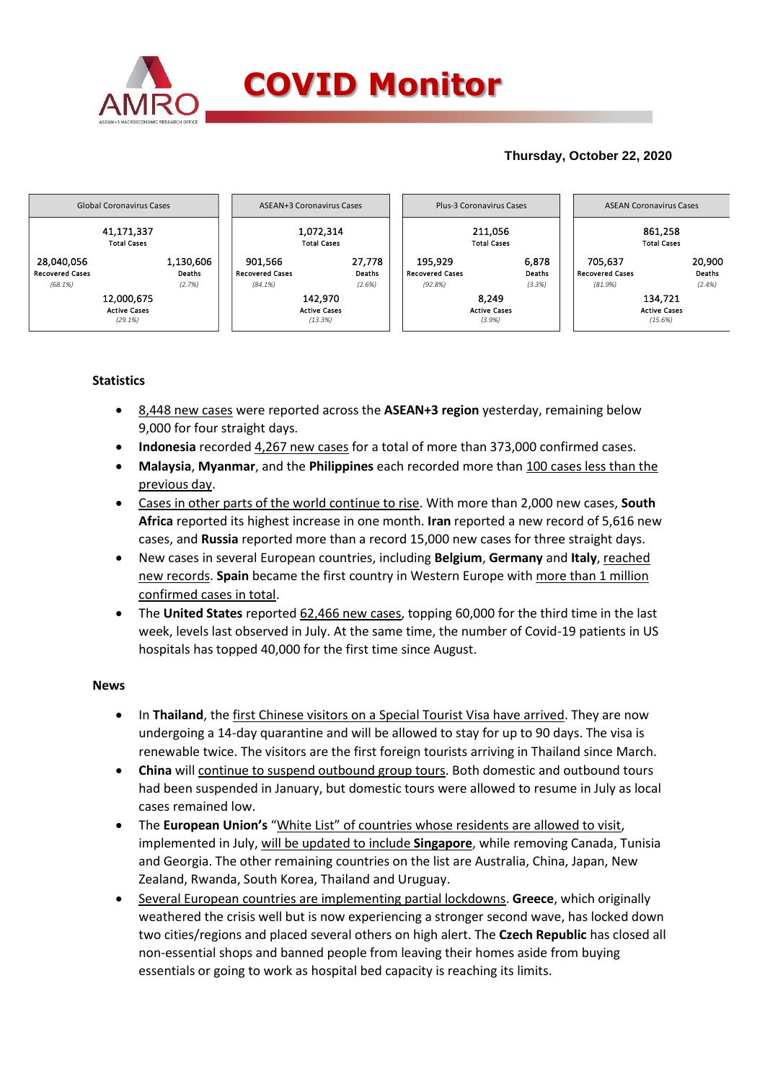

# **Thursday, October 22, 2020**



# **Statistics**

- 8,448 new cases were reported across the **ASEAN+3 region** yesterday, remaining below 9,000 for four straight days.
- **Indonesia** recorded 4,267 new cases for a total of more than 373,000 confirmed cases.
- **Malaysia**, **Myanmar**, and the **Philippines** each recorded more than 100 cases less than the previous day.
- Cases in other parts of the world continue to rise. With more than 2,000 new cases, **South Africa** reported its highest increase in one month. **Iran** reported a new record of 5,616 new cases, and **Russia** reported more than a record 15,000 new cases for three straight days.
- New cases in several European countries, including **Belgium**, **Germany** and **Italy**, reached new records. **Spain** became the first country in Western Europe with more than 1 million confirmed cases in total.
- The **United States** reported 62,466 new cases, topping 60,000 for the third time in the last week, levels last observed in July. At the same time, the number of Covid-19 patients in US hospitals has topped 40,000 for the first time since August.

### **News**

- **•** In Thailand, the first Chinese visitors on a Special Tourist Visa have arrived. They are now undergoing a 14-day quarantine and will be allowed to stay for up to 90 days. The visa is renewable twice. The visitors are the first foreign tourists arriving in Thailand since March.
- **China** will continue to suspend outbound group tours. Both domestic and outbound tours had been suspended in January, but domestic tours were allowed to resume in July as local cases remained low.
- The **European Union's** "White List" of countries whose residents are allowed to visit, implemented in July, will be updated to include **Singapore**, while removing Canada, Tunisia and Georgia. The other remaining countries on the list are Australia, China, Japan, New Zealand, Rwanda, South Korea, Thailand and Uruguay.
- Several European countries are implementing partial lockdowns. **Greece**, which originally weathered the crisis well but is now experiencing a stronger second wave, has locked down two cities/regions and placed several others on high alert. The **Czech Republic** has closed all non-essential shops and banned people from leaving their homes aside from buying essentials or going to work as hospital bed capacity is reaching its limits.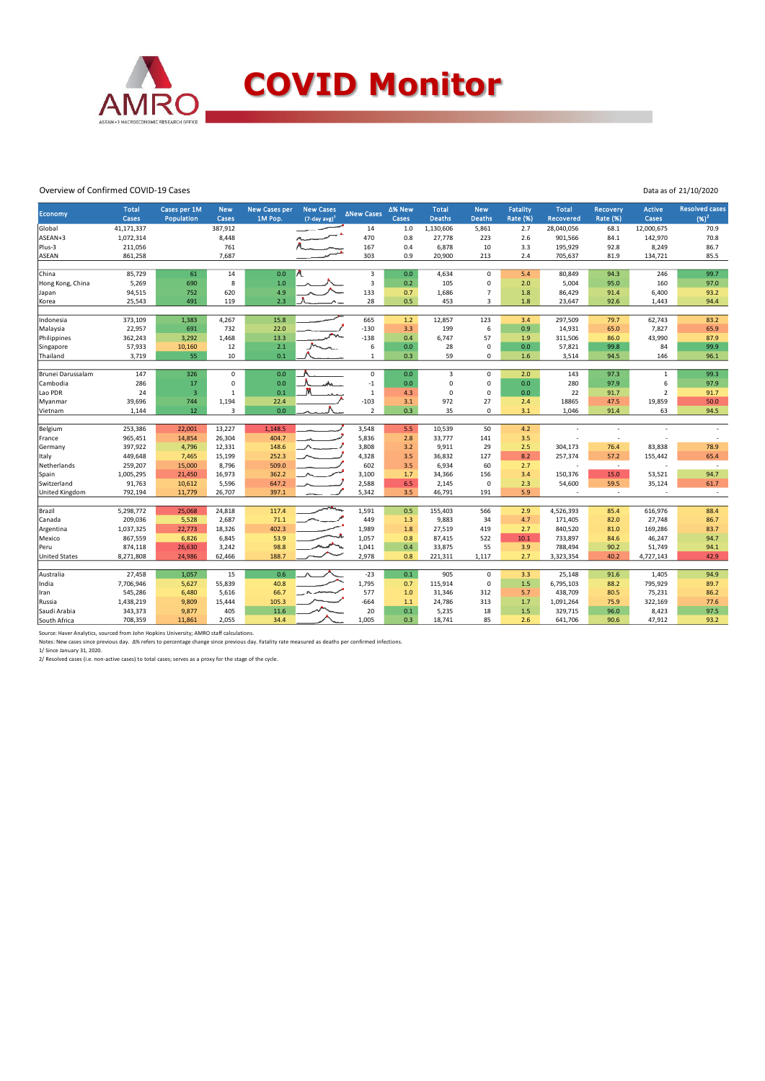

#### Overview of Confirmed COVID-19 Cases

|  | Data as of 21/10/2020 |
|--|-----------------------|
|--|-----------------------|

| Economy              | <b>Total</b> | Cases per 1M    | <b>New</b>      | <b>New Cases per</b> | <b>New Cases</b>    | <b>ANew Cases</b>       | ∆% New | <b>Total</b>     | <b>New</b>     | <b>Fatality</b> | <b>Total</b>         | Recovery        | <b>Active</b>     | <b>Resolved cases</b> |
|----------------------|--------------|-----------------|-----------------|----------------------|---------------------|-------------------------|--------|------------------|----------------|-----------------|----------------------|-----------------|-------------------|-----------------------|
|                      | Cases        | Population      | Cases           | 1M Pop.              | $(7$ -day avg $)^1$ |                         | Cases  | <b>Deaths</b>    | Deaths         | Rate (%)        | <b>Recovered</b>     | <b>Rate (%)</b> | Cases             | $(96)^2$              |
| Global               | 41,171,337   |                 | 387,912         |                      |                     | 14                      | 1.0    | 1,130,606        | 5,861          | 2.7             | 28,040,056           | 68.1            | 12,000,675        | 70.9                  |
| ASEAN+3              | 1,072,314    |                 | 8,448           |                      |                     | 470                     | 0.8    | 27,778           | 223            | 2.6             | 901,566              | 84.1            | 142,970           | 70.8                  |
| Plus-3               | 211,056      |                 | 761             |                      |                     | 167                     | 0.4    | 6,878            | 10             | 3.3             | 195,929              | 92.8            | 8,249             | 86.7                  |
| <b>ASEAN</b>         | 861,258      |                 | 7,687           |                      |                     | 303                     | 0.9    | 20,900           | 213            | 2.4             | 705,637              | 81.9            | 134,721           | 85.5                  |
| China                | 85,729       | 61              | 14              | 0.0                  |                     | $\overline{\mathbf{3}}$ | 0.0    | 4,634            | $\Omega$       | 5.4             | 80,849               | 94.3            | 246               | 99.7                  |
| Hong Kong, China     | 5,269        | 690             | 8               | 1.0                  |                     | $\overline{\mathbf{3}}$ | 0.2    | 105              | 0              | 2.0             | 5,004                | 95.0            | 160               | 97.0                  |
| Japan                | 94,515       | 752             | 620             | 4.9                  |                     | 133                     | 0.7    | 1,686            | $\overline{7}$ | 1.8             | 86,429               | 91.4            | 6,400             | 93.2                  |
| Korea                | 25,543       | 491             | 119             | 2.3                  |                     | 28                      | 0.5    | 453              | 3              | 1.8             | 23,647               | 92.6            | 1,443             | 94.4                  |
|                      |              |                 |                 |                      |                     |                         |        |                  |                |                 |                      |                 |                   |                       |
| Indonesia            | 373,109      | 1,383           | 4,267           | 15.8                 |                     | 665                     | 1.2    | 12,857           | 123            | 3.4             | 297,509              | 79.7            | 62,743            | 83.2                  |
| Malaysia             | 22,957       | 691             | 732             | 22.0                 |                     | $-130$                  | 3.3    | 199              | 6              | 0.9             | 14,931               | 65.0            | 7,827             | 65.9                  |
| Philippines          | 362,243      | 3,292           | 1,468           | 13.3                 |                     | $-138$                  | 0.4    | 6,747            | 57             | 1.9             | 311,506              | 86.0            | 43,990            | 87.9                  |
| Singapore            | 57,933       | 10,160          | 12              | 2.1                  |                     | 6                       | 0.0    | 28               | $\mathbf 0$    | 0.0             | 57,821               | 99.8            | 84                | 99.9                  |
| Thailand             | 3,719        | 55              | 10              | 0.1                  |                     | $\mathbf{1}$            | 0.3    | 59               | 0              | 1.6             | 3,514                | 94.5            | 146               | 96.1                  |
|                      |              |                 |                 |                      |                     |                         |        |                  |                |                 |                      |                 |                   |                       |
| Brunei Darussalam    | 147          | 326             | 0               | 0.0                  |                     | $\mathsf{O}\xspace$     | 0.0    | 3                | 0              | 2.0             | 143                  | 97.3            | $\mathbf{1}$      | 99.3                  |
| Cambodia             | 286          | 17              | $\Omega$        | 0.0                  |                     | $-1$                    | 0.0    | $\mathbf 0$      | 0              | 0.0             | 280                  | 97.9            | 6                 | 97.9                  |
| Lao PDR              | 24           | $\overline{3}$  | $\mathbf{1}$    | 0.1                  |                     | $\,1\,$                 | 4.3    | $\Omega$         | $\Omega$       | 0.0             | 22                   | 91.7            | $\overline{2}$    | 91.7                  |
| Myanmar              | 39,696       | 744             | 1,194           | 22.4                 |                     | $-103$                  | 3.1    | 972              | 27             | 2.4             | 18865                | 47.5            | 19,859            | 50.0                  |
| Vietnam              | 1,144        | 12              | 3               | 0.0                  |                     | $\overline{2}$          | 0.3    | 35               | 0              | 3.1             | 1,046                | 91.4            | 63                | 94.5                  |
|                      |              |                 |                 |                      |                     |                         |        |                  |                |                 |                      |                 |                   |                       |
| Belgium              | 253,386      | 22,001          | 13,227          | 1,148.5              |                     | 3,548                   | 5.5    | 10,539           | 50             | 4.2             |                      | ÷               |                   | ÷,                    |
| France               | 965,451      | 14,854          | 26,304          | 404.7                |                     | 5,836                   | 2.8    | 33,777           | 141            | 3.5             |                      | $\overline{a}$  |                   |                       |
| Germany              | 397,922      | 4,796           | 12,331          | 148.6                |                     | 3,808                   | 3.2    | 9,911            | 29             | 2.5             | 304,173              | 76.4            | 83,838            | 78.9                  |
| Italy                | 449,648      | 7,465           | 15,199          | 252.3                |                     | 4,328                   | 3.5    | 36,832           | 127            | 8.2             | 257,374              | 57.2            | 155,442           | 65.4                  |
| Netherlands          | 259,207      | 15,000          | 8,796           | 509.0                |                     | 602                     | 3.5    | 6,934            | 60             | 2.7             |                      | $\sim$          |                   | $\sim$                |
| Spain                | 1,005,295    | 21,450          | 16,973          | 362.2                |                     | 3,100                   | 1.7    | 34,366           | 156            | 3.4             | 150,376              | 15.0            | 53,521            | 94.7                  |
| Switzerland          | 91,763       | 10,612          | 5,596           | 647.2                |                     | 2,588                   | 6.5    | 2,145            | $\mathbf 0$    | 2.3             | 54,600               | 59.5            | 35,124            | 61.7                  |
| United Kingdom       | 792,194      | 11,779          | 26,707          | 397.1                |                     | 5,342                   | 3.5    | 46,791           | 191            | 5.9             |                      | $\sim$          | ٠                 | $\sim$                |
|                      | 5,298,772    |                 |                 | 117.4                |                     |                         | 0.5    |                  |                |                 |                      |                 |                   |                       |
| Brazil<br>Canada     | 209,036      | 25,068<br>5,528 | 24,818<br>2,687 | 71.1                 |                     | 1,591<br>449            | 1.3    | 155,403<br>9,883 | 566<br>34      | 2.9<br>4.7      | 4,526,393<br>171,405 | 85.4<br>82.0    | 616,976<br>27,748 | 88.4<br>86.7          |
| Argentina            | 1,037,325    | 22,773          | 18,326          | 402.3                |                     | 1,989                   | 1.8    | 27,519           | 419            | 2.7             | 840,520              | 81.0            | 169,286           | 83.7                  |
|                      |              |                 |                 |                      |                     |                         |        |                  |                | 10.1            |                      |                 |                   | 94.7                  |
| Mexico               | 867,559      | 6,826           | 6,845           | 53.9                 |                     | 1,057                   | 0.8    | 87,415           | 522            |                 | 733,897              | 84.6            | 46,247            |                       |
| Peru                 | 874,118      | 26,630          | 3,242           | 98.8                 |                     | 1,041                   | 0.4    | 33,875           | 55             | 3.9             | 788,494              | 90.2            | 51,749            | 94.1                  |
| <b>United States</b> | 8,271,808    | 24,986          | 62,466          | 188.7                |                     | 2,978                   | 0.8    | 221,311          | 1,117          | 2.7             | 3,323,354            | 40.2            | 4,727,143         | 42.9                  |
| Australia            | 27,458       | 1,057           | 15              | 0.6                  |                     | $-23$                   | 0.1    | 905              | $\mathbf 0$    | 3.3             | 25,148               | 91.6            | 1,405             | 94.9                  |
| India                | 7,706,946    | 5,627           | 55,839          | 40.8                 |                     | 1,795                   | 0.7    | 115,914          | $\mathsf 0$    | 1.5             | 6,795,103            | 88.2            | 795,929           | 89.7                  |
| Iran                 | 545,286      | 6,480           | 5,616           | 66.7                 |                     | 577                     | 1.0    | 31,346           | 312            | 5.7             | 438,709              | 80.5            | 75,231            | 86.2                  |
| Russia               | 1,438,219    | 9,809           | 15,444          | 105.3                |                     | $-664$                  | $1.1$  | 24,786           | 313            | 1.7             | 1,091,264            | 75.9            | 322,169           | 77.6                  |
| Saudi Arabia         | 343,373      | 9,877           | 405             | 11.6                 |                     | 20                      | 0.1    | 5,235            | 18             | 1.5             | 329,715              | 96.0            | 8,423             | 97.5                  |
| South Africa         | 708,359      | 11,861          | 2,055           | 34.4                 |                     | 1,005                   | 0.3    | 18,741           | 85             | 2.6             | 641,706              | 90.6            | 47,912            | 93.2                  |
|                      |              |                 |                 |                      |                     |                         |        |                  |                |                 |                      |                 |                   |                       |

Source: Haver Analytics, sourced from John Hopkins University; AMRO staff calculations.<br>Notes: New cases since previous day. ∆% refers to percentage change since previous day. Fatality rate measured as deaths per confirmed